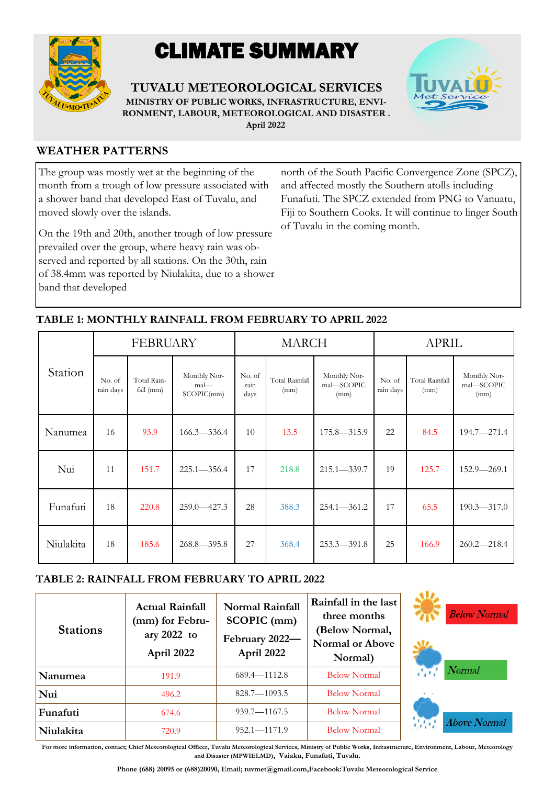

# CLIMATE SUMMARY

**TUVALU METEOROLOGICAL SERVICES MINISTRY OF PUBLIC WORKS, INFRASTRUCTURE, ENVI-RONMENT, LABOUR, METEOROLOGICAL AND DISASTER . April 2022**



### **WEATHER PATTERNS**

The group was mostly wet at the beginning of the month from a trough of low pressure associated with a shower band that developed East of Tuvalu, and moved slowly over the islands.

On the 19th and 20th, another trough of low pressure prevailed over the group, where heavy rain was observed and reported by all stations. On the 30th, rain of 38.4mm was reported by Niulakita, due to a shower band that developed

north of the South Pacific Convergence Zone (SPCZ), and affected mostly the Southern atolls including Funafuti. The SPCZ extended from PNG to Vanuatu, Fiji to Southern Cooks. It will continue to linger South of Tuvalu in the coming month.

| Station   | <b>FEBRUARY</b>     |                            |                                    | <b>MARCH</b>           |                        |                                    | <b>APRIL</b>        |                               |                                    |
|-----------|---------------------|----------------------------|------------------------------------|------------------------|------------------------|------------------------------------|---------------------|-------------------------------|------------------------------------|
|           | No. of<br>rain days | Total Rain-<br>fall $(mm)$ | Monthly Nor-<br>mal-<br>SCOPIC(mm) | No. of<br>rain<br>days | Total Rainfall<br>(mm) | Monthly Nor-<br>mal-SCOPIC<br>(mm) | No. of<br>rain days | <b>Total Rainfall</b><br>(mm) | Monthly Nor-<br>mal-SCOPIC<br>(mm) |
| Nanumea   | 16                  | 93.9                       | $166.3 - 336.4$                    | 10                     | 13.5                   | $175.8 - 315.9$                    | 22                  | 84.5                          | $194.7 - 271.4$                    |
| Nui       | 11                  | 151.7                      | $225.1 - 356.4$                    | 17                     | 218.8                  | $215.1 - 339.7$                    | 19                  | 125.7                         | $152.9 - 269.1$                    |
| Funafuti  | 18                  | 220.8                      | $259.0 - 427.3$                    | 28                     | 388.3                  | $254.1 - 361.2$                    | 17                  | 65.5                          | $190.3 - 317.0$                    |
| Niulakita | 18                  | 185.6                      | $268.8 - 395.8$                    | 27                     | 368.4                  | $253.3 - 391.8$                    | 25                  | 166.9                         | $260.2 - 218.4$                    |

## **TABLE 1: MONTHLY RAINFALL FROM FEBRUARY TO APRIL 2022**

## **TABLE 2: RAINFALL FROM FEBRUARY TO APRIL 2022**

| <b>Stations</b> | <b>Actual Rainfall</b><br>(mm) for Febru-<br>ary 2022 to<br>April 2022 | <b>Normal Rainfall</b><br>SCOPIC (mm)<br>February 2022-<br>April 2022 | Rainfall in the last<br>three months<br>(Below Normal,<br><b>Normal or Above</b><br>Normal) |  |
|-----------------|------------------------------------------------------------------------|-----------------------------------------------------------------------|---------------------------------------------------------------------------------------------|--|
| Nanumea         | 191.9                                                                  | $689.4 - 1112.8$                                                      | <b>Below Normal</b>                                                                         |  |
| Nui             | 496.2                                                                  | $828.7 - 1093.5$                                                      | <b>Below Normal</b>                                                                         |  |
| Funafuti        | 674.6                                                                  | $939.7 - 1167.5$                                                      | <b>Below Normal</b>                                                                         |  |
| Niulakita       | 720.9                                                                  | $952.1 - 1171.9$                                                      | <b>Below Normal</b>                                                                         |  |





**For more information, contact; Chief Meteorological Officer, Tuvalu Meteorological Services, Ministry of Public Works, Infrastructure, Environment, Labour, Meteorology and Disaster (MPWIELMD), Vaiaku, Funafuti, Tuvalu.**